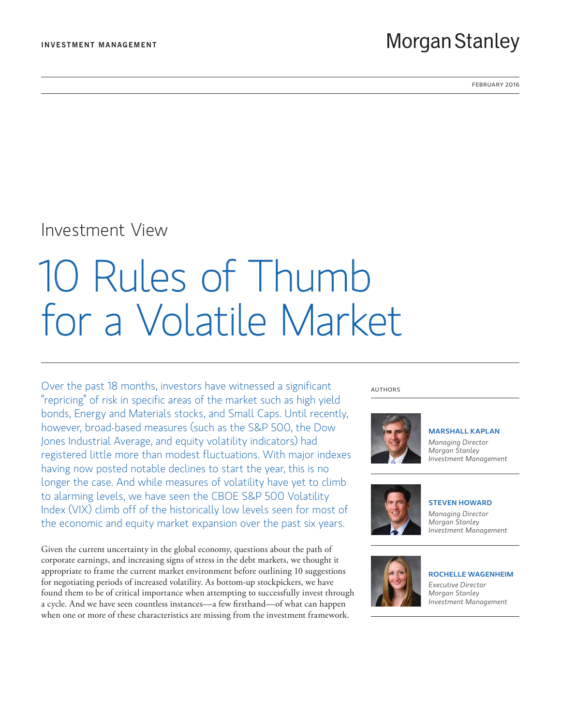## **Morgan Stanley**

FEBRUARY 2016

## Investment View

# 10 Rules of Thumb for a Volatile Market

Over the past 18 months, investors have witnessed a significant "repricing" of risk in specific areas of the market such as high yield bonds, Energy and Materials stocks, and Small Caps. Until recently, however, broad-based measures (such as the S&P 500, the Dow Jones Industrial Average, and equity volatility indicators) had registered little more than modest fluctuations. With major indexes having now posted notable declines to start the year, this is no longer the case. And while measures of volatility have yet to climb to alarming levels, we have seen the CBOE S&P 500 Volatility Index (VIX) climb off of the historically low levels seen for most of the economic and equity market expansion over the past six years.

Given the current uncertainty in the global economy, questions about the path of corporate earnings, and increasing signs of stress in the debt markets, we thought it appropriate to frame the current market environment before outlining 10 suggestions for negotiating periods of increased volatility. As bottom-up stockpickers, we have found them to be of critical importance when attempting to successfully invest through a cycle. And we have seen countless instances—a few firsthand—of what can happen when one or more of these characteristics are missing from the investment framework.

#### AUTHORS



#### MARSHALL KAPLAN

*Managing Director Morgan Stanley Investment Management*



#### STEVEN HOWARD

*Managing Director Morgan Stanley Investment Management*



#### ROCHELLE WAGENHEIM

*Executive Director Morgan Stanley Investment Management*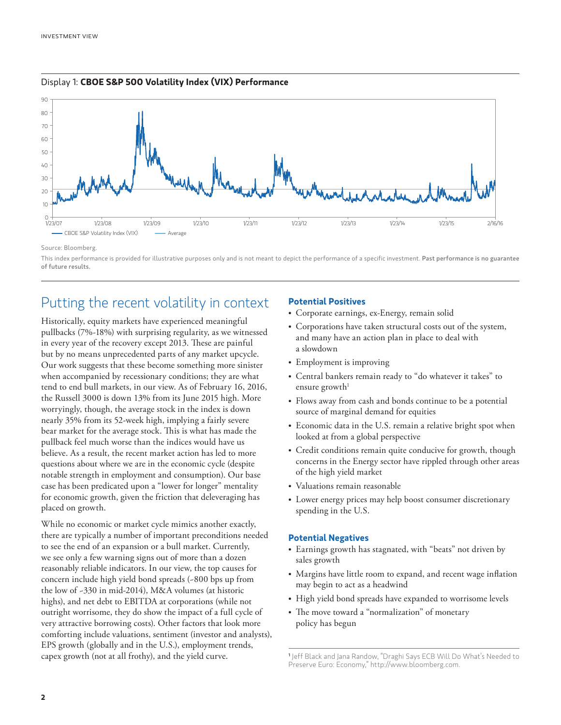



Source: Bloomberg.

This index performance is provided for illustrative purposes only and is not meant to depict the performance of a specific investment. Past performance is no guarantee of future results.

### Putting the recent volatility in context

Historically, equity markets have experienced meaningful pullbacks (7%-18%) with surprising regularity, as we witnessed in every year of the recovery except 2013. These are painful but by no means unprecedented parts of any market upcycle. Our work suggests that these become something more sinister when accompanied by recessionary conditions; they are what tend to end bull markets, in our view. As of February 16, 2016, the Russell 3000 is down 13% from its June 2015 high. More worryingly, though, the average stock in the index is down nearly 35% from its 52-week high, implying a fairly severe bear market for the average stock. This is what has made the pullback feel much worse than the indices would have us believe. As a result, the recent market action has led to more questions about where we are in the economic cycle (despite notable strength in employment and consumption). Our base case has been predicated upon a "lower for longer" mentality for economic growth, given the friction that deleveraging has placed on growth.

While no economic or market cycle mimics another exactly, there are typically a number of important preconditions needed to see the end of an expansion or a bull market. Currently, we see only a few warning signs out of more than a dozen reasonably reliable indicators. In our view, the top causes for concern include high yield bond spreads (~800 bps up from the low of ~330 in mid-2014), M&A volumes (at historic highs), and net debt to EBITDA at corporations (while not outright worrisome, they do show the impact of a full cycle of very attractive borrowing costs). Other factors that look more comforting include valuations, sentiment (investor and analysts), EPS growth (globally and in the U.S.), employment trends, capex growth (not at all frothy), and the yield curve.

#### **Potential Positives**

- Corporate earnings, ex-Energy, remain solid
- Corporations have taken structural costs out of the system, and many have an action plan in place to deal with a slowdown
- Employment is improving
- Central bankers remain ready to "do whatever it takes" to ensure growth<sup>1</sup>
- Flows away from cash and bonds continue to be a potential source of marginal demand for equities
- Economic data in the U.S. remain a relative bright spot when looked at from a global perspective
- Credit conditions remain quite conducive for growth, though concerns in the Energy sector have rippled through other areas of the high yield market
- Valuations remain reasonable
- Lower energy prices may help boost consumer discretionary spending in the U.S.

#### **Potential Negatives**

- Earnings growth has stagnated, with "beats" not driven by sales growth
- Margins have little room to expand, and recent wage inflation may begin to act as a headwind
- High yield bond spreads have expanded to worrisome levels
- The move toward a "normalization" of monetary policy has begun

**<sup>1</sup>** Jeff Black and Jana Randow, "Draghi Says ECB Will Do What's Needed to Preserve Euro: Economy," http://www.bloomberg.com.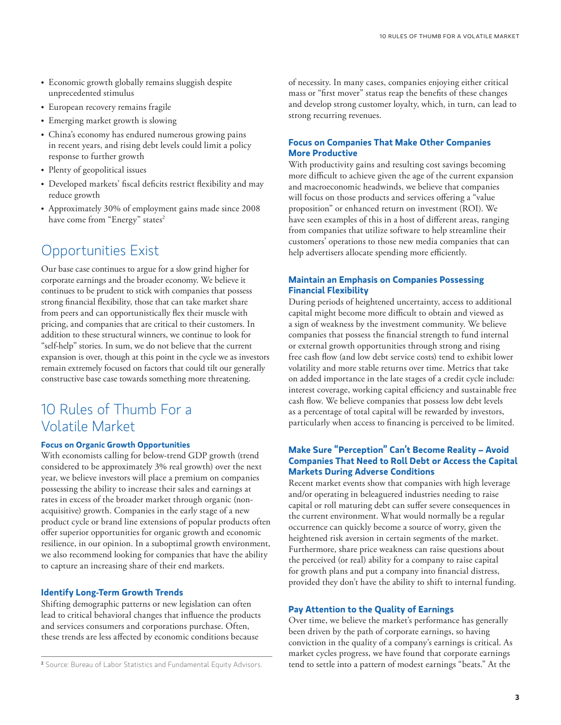- Economic growth globally remains sluggish despite unprecedented stimulus
- European recovery remains fragile
- Emerging market growth is slowing
- China's economy has endured numerous growing pains in recent years, and rising debt levels could limit a policy response to further growth
- Plenty of geopolitical issues
- Developed markets' fiscal deficits restrict flexibility and may reduce growth
- Approximately 30% of employment gains made since 2008 have come from "Energy" states<sup>2</sup>

## Opportunities Exist

Our base case continues to argue for a slow grind higher for corporate earnings and the broader economy. We believe it continues to be prudent to stick with companies that possess strong financial flexibility, those that can take market share from peers and can opportunistically flex their muscle with pricing, and companies that are critical to their customers. In addition to these structural winners, we continue to look for "self-help" stories. In sum, we do not believe that the current expansion is over, though at this point in the cycle we as investors remain extremely focused on factors that could tilt our generally constructive base case towards something more threatening.

## 10 Rules of Thumb For a Volatile Market

#### **Focus on Organic Growth Opportunities**

With economists calling for below-trend GDP growth (trend considered to be approximately 3% real growth) over the next year, we believe investors will place a premium on companies possessing the ability to increase their sales and earnings at rates in excess of the broader market through organic (nonacquisitive) growth. Companies in the early stage of a new product cycle or brand line extensions of popular products often offer superior opportunities for organic growth and economic resilience, in our opinion. In a suboptimal growth environment, we also recommend looking for companies that have the ability to capture an increasing share of their end markets.

#### **Identify Long-Term Growth Trends**

Shifting demographic patterns or new legislation can often lead to critical behavioral changes that influence the products and services consumers and corporations purchase. Often, these trends are less affected by economic conditions because

of necessity. In many cases, companies enjoying either critical mass or "first mover" status reap the benefits of these changes and develop strong customer loyalty, which, in turn, can lead to strong recurring revenues.

#### **Focus on Companies That Make Other Companies More Productive**

With productivity gains and resulting cost savings becoming more difficult to achieve given the age of the current expansion and macroeconomic headwinds, we believe that companies will focus on those products and services offering a "value proposition" or enhanced return on investment (ROI). We have seen examples of this in a host of different areas, ranging from companies that utilize software to help streamline their customers' operations to those new media companies that can help advertisers allocate spending more efficiently.

#### **Maintain an Emphasis on Companies Possessing Financial Flexibility**

During periods of heightened uncertainty, access to additional capital might become more difficult to obtain and viewed as a sign of weakness by the investment community. We believe companies that possess the financial strength to fund internal or external growth opportunities through strong and rising free cash flow (and low debt service costs) tend to exhibit lower volatility and more stable returns over time. Metrics that take on added importance in the late stages of a credit cycle include: interest coverage, working capital efficiency and sustainable free cash flow. We believe companies that possess low debt levels as a percentage of total capital will be rewarded by investors, particularly when access to financing is perceived to be limited.

#### **Make Sure "Perception" Can't Become Reality – Avoid Companies That Need to Roll Debt or Access the Capital Markets During Adverse Conditions**

Recent market events show that companies with high leverage and/or operating in beleaguered industries needing to raise capital or roll maturing debt can suffer severe consequences in the current environment. What would normally be a regular occurrence can quickly become a source of worry, given the heightened risk aversion in certain segments of the market. Furthermore, share price weakness can raise questions about the perceived (or real) ability for a company to raise capital for growth plans and put a company into financial distress, provided they don't have the ability to shift to internal funding.

#### **Pay Attention to the Quality of Earnings**

Over time, we believe the market's performance has generally been driven by the path of corporate earnings, so having conviction in the quality of a company's earnings is critical. As market cycles progress, we have found that corporate earnings <sup>2</sup> Source: Bureau of Labor Statistics and Fundamental Equity Advisors. **tend to settle into a pattern of modest earnings "beats." At the**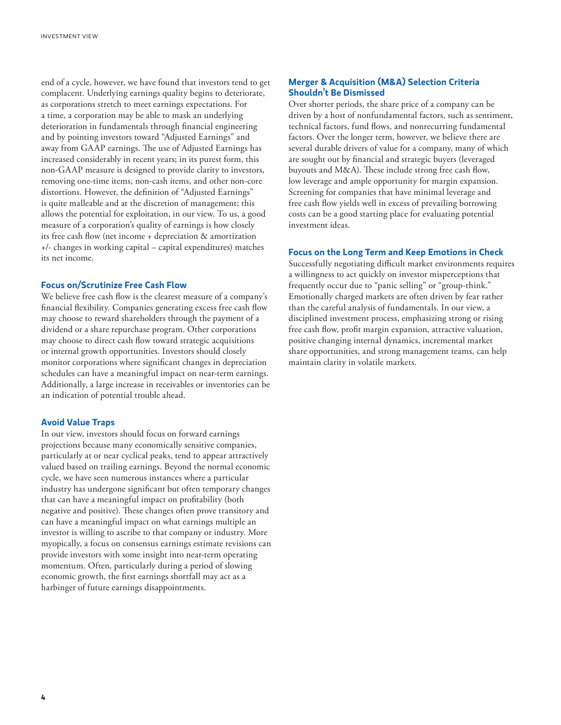end of a cycle, however, we have found that investors tend to get complacent. Underlying earnings quality begins to deteriorate, as corporations stretch to meet earnings expectations. For a time, a corporation may be able to mask an underlying deterioration in fundamentals through financial engineering and by pointing investors toward "Adjusted Earnings" and away from GAAP earnings. The use of Adjusted Earnings has increased considerably in recent years; in its purest form, this non-GAAP measure is designed to provide clarity to investors, removing one-time items, non-cash items, and other non-core distortions. However, the definition of "Adjusted Earnings" is quite malleable and at the discretion of management; this allows the potential for exploitation, in our view. To us, a good measure of a corporation's quality of earnings is how closely its free cash flow (net income + depreciation & amortization +/- changes in working capital – capital expenditures) matches its net income.

#### **Focus on/Scrutinize Free Cash Flow**

We believe free cash flow is the clearest measure of a company's financial flexibility. Companies generating excess free cash flow may choose to reward shareholders through the payment of a dividend or a share repurchase program. Other corporations may choose to direct cash flow toward strategic acquisitions or internal growth opportunities. Investors should closely monitor corporations where significant changes in depreciation schedules can have a meaningful impact on near-term earnings. Additionally, a large increase in receivables or inventories can be an indication of potential trouble ahead.

#### **Avoid Value Traps**

In our view, investors should focus on forward earnings projections because many economically sensitive companies, particularly at or near cyclical peaks, tend to appear attractively valued based on trailing earnings. Beyond the normal economic cycle, we have seen numerous instances where a particular industry has undergone significant but often temporary changes that can have a meaningful impact on profitability (both negative and positive). These changes often prove transitory and can have a meaningful impact on what earnings multiple an investor is willing to ascribe to that company or industry. More myopically, a focus on consensus earnings estimate revisions can provide investors with some insight into near-term operating momentum. Often, particularly during a period of slowing economic growth, the first earnings shortfall may act as a harbinger of future earnings disappointments.

#### **Merger & Acquisition (M&A) Selection Criteria Shouldn't Be Dismissed**

Over shorter periods, the share price of a company can be driven by a host of nonfundamental factors, such as sentiment, technical factors, fund flows, and nonrecurring fundamental factors. Over the longer term, however, we believe there are several durable drivers of value for a company, many of which are sought out by financial and strategic buyers (leveraged buyouts and M&A). These include strong free cash flow, low leverage and ample opportunity for margin expansion. Screening for companies that have minimal leverage and free cash flow yields well in excess of prevailing borrowing costs can be a good starting place for evaluating potential investment ideas.

#### **Focus on the Long Term and Keep Emotions in Check**

Successfully negotiating difficult market environments requires a willingness to act quickly on investor misperceptions that frequently occur due to "panic selling" or "group-think." Emotionally charged markets are often driven by fear rather than the careful analysis of fundamentals. In our view, a disciplined investment process, emphasizing strong or rising free cash flow, profit margin expansion, attractive valuation, positive changing internal dynamics, incremental market share opportunities, and strong management teams, can help maintain clarity in volatile markets.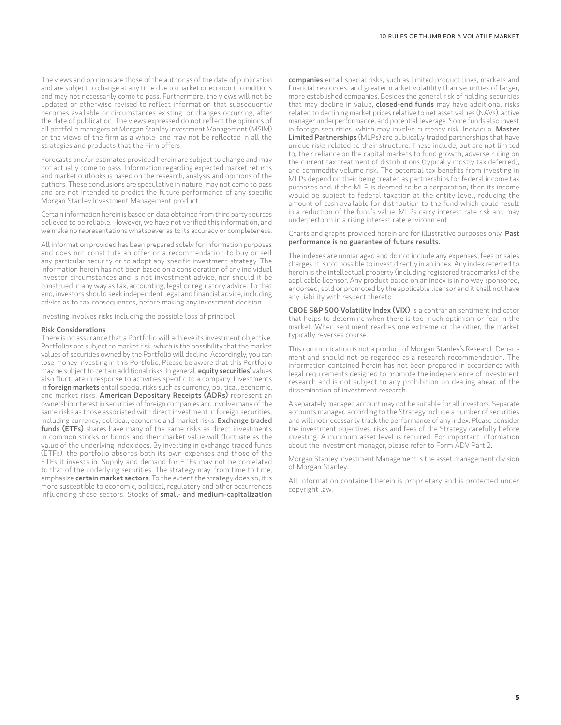The views and opinions are those of the author as of the date of publication and are subject to change at any time due to market or economic conditions and may not necessarily come to pass. Furthermore, the views will not be updated or otherwise revised to reflect information that subsequently becomes available or circumstances existing, or changes occurring, after the date of publication. The views expressed do not reflect the opinions of all portfolio managers at Morgan Stanley Investment Management (MSIM) or the views of the firm as a whole, and may not be reflected in all the strategies and products that the Firm offers.

Forecasts and/or estimates provided herein are subject to change and may not actually come to pass. Information regarding expected market returns and market outlooks is based on the research, analysis and opinions of the authors. These conclusions are speculative in nature, may not come to pass and are not intended to predict the future performance of any specific Morgan Stanley Investment Management product.

Certain information herein is based on data obtained from third party sources believed to be reliable. However, we have not verified this information, and we make no representations whatsoever as to its accuracy or completeness.

All information provided has been prepared solely for information purposes and does not constitute an offer or a recommendation to buy or sell any particular security or to adopt any specific investment strategy. The information herein has not been based on a consideration of any individual investor circumstances and is not investment advice, nor should it be construed in any way as tax, accounting, legal or regulatory advice. To that end, investors should seek independent legal and financial advice, including advice as to tax consequences, before making any investment decision.

Investing involves risks including the possible loss of principal.

#### Risk Considerations

There is no assurance that a Portfolio will achieve its investment objective. Portfolios are subject to market risk, which is the possibility that the market values of securities owned by the Portfolio will decline. Accordingly, you can lose money investing in this Portfolio. Please be aware that this Portfolio may be subject to certain additional risks. In general, equity securities' values also fluctuate in response to activities specific to a company. Investments in foreign markets entail special risks such as currency, political, economic, and market risks. American Depositary Receipts (ADRs) represent an ownership interest in securities of foreign companies and involve many of the same risks as those associated with direct investment in foreign securities, including currency, political, economic and market risks. Exchange traded funds (ETFs) shares have many of the same risks as direct investments in common stocks or bonds and their market value will fluctuate as the value of the underlying index does. By investing in exchange traded funds (ETFs), the portfolio absorbs both its own expenses and those of the ETFs it invests in. Supply and demand for ETFs may not be correlated to that of the underlying securities. The strategy may, from time to time, emphasize certain market sectors. To the extent the strategy does so, it is more susceptible to economic, political, regulatory and other occurrences influencing those sectors. Stocks of small- and medium-capitalization companies entail special risks, such as limited product lines, markets and financial resources, and greater market volatility than securities of larger, more established companies. Besides the general risk of holding securities that may decline in value, closed-end funds may have additional risks related to declining market prices relative to net asset values (NAVs), active manager underperformance, and potential leverage. Some funds also invest in foreign securities, which may involve currency risk. Individual Master Limited Partnerships (MLPs) are publically traded partnerships that have unique risks related to their structure. These include, but are not limited to, their reliance on the capital markets to fund growth, adverse ruling on the current tax treatment of distributions (typically mostly tax deferred), and commodity volume risk. The potential tax benefits from investing in MLPs depend on their being treated as partnerships for federal income tax purposes and, if the MLP is deemed to be a corporation, then its income would be subject to federal taxation at the entity level, reducing the amount of cash available for distribution to the fund which could result in a reduction of the fund's value. MLPs carry interest rate risk and may underperform in a rising interest rate environment.

#### Charts and graphs provided herein are for illustrative purposes only. Past performance is no guarantee of future results.

The indexes are unmanaged and do not include any expenses, fees or sales charges. It is not possible to invest directly in an index. Any index referred to herein is the intellectual property (including registered trademarks) of the applicable licensor. Any product based on an index is in no way sponsored, endorsed, sold or promoted by the applicable licensor and it shall not have any liability with respect thereto.

CBOE S&P 500 Volatility Index (VIX) is a contrarian sentiment indicator that helps to determine when there is too much optimism or fear in the market. When sentiment reaches one extreme or the other, the market typically reverses course.

This communication is not a product of Morgan Stanley's Research Department and should not be regarded as a research recommendation. The information contained herein has not been prepared in accordance with legal requirements designed to promote the independence of investment research and is not subject to any prohibition on dealing ahead of the dissemination of investment research.

A separately managed account may not be suitable for all investors. Separate accounts managed according to the Strategy include a number of securities and will not necessarily track the performance of any index. Please consider the investment objectives, risks and fees of the Strategy carefully before investing. A minimum asset level is required. For important information about the investment manager, please refer to Form ADV Part 2.

Morgan Stanley Investment Management is the asset management division of Morgan Stanley.

All information contained herein is proprietary and is protected under copyright law.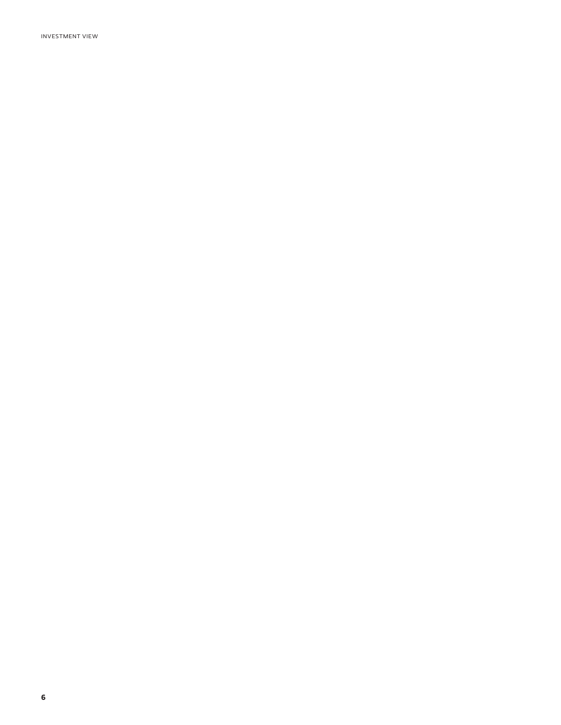INVESTMENT VIEW